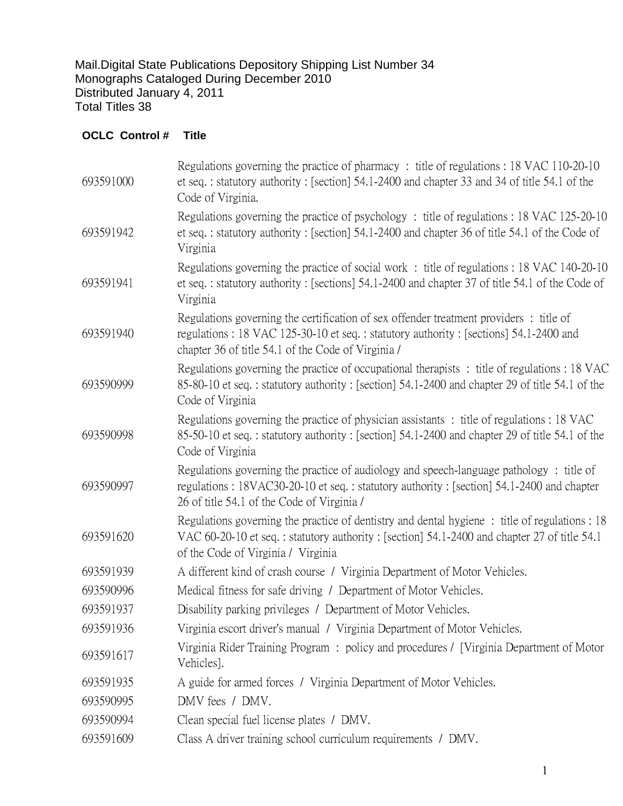Mail.Digital State Publications Depository Shipping List Number 34 Monographs Cataloged During December 2010 Distributed January 4, 2011 Total Titles 38

## **OCLC Control # Title**

| Regulations governing the practice of pharmacy: title of regulations: 18 VAC 110-20-10<br>et seq.: statutory authority: [section] 54.1-2400 and chapter 33 and 34 of title 54.1 of the<br>Code of Virginia.                         |
|-------------------------------------------------------------------------------------------------------------------------------------------------------------------------------------------------------------------------------------|
| Regulations governing the practice of psychology: title of regulations: 18 VAC 125-20-10<br>et seq.: statutory authority: [section] 54.1-2400 and chapter 36 of title 54.1 of the Code of<br>Virginia                               |
| Regulations governing the practice of social work : title of regulations : 18 VAC 140-20-10<br>et seq.: statutory authority: [sections] 54.1-2400 and chapter 37 of title 54.1 of the Code of<br>Virginia                           |
| Regulations governing the certification of sex offender treatment providers: title of<br>regulations: 18 VAC 125-30-10 et seq.: statutory authority: [sections] 54.1-2400 and<br>chapter 36 of title 54.1 of the Code of Virginia / |
| Regulations governing the practice of occupational therapists : title of regulations : 18 VAC<br>85-80-10 et seq.: statutory authority: [section] 54.1-2400 and chapter 29 of title 54.1 of the<br>Code of Virginia                 |
| Regulations governing the practice of physician assistants : title of regulations : 18 VAC<br>85-50-10 et seq.: statutory authority: [section] 54.1-2400 and chapter 29 of title 54.1 of the<br>Code of Virginia                    |
| Regulations governing the practice of audiology and speech-language pathology: title of<br>regulations: 18VAC30-20-10 et seq.: statutory authority: [section] 54.1-2400 and chapter<br>26 of title 54.1 of the Code of Virginia /   |
| Regulations governing the practice of dentistry and dental hygiene: title of regulations : 18<br>VAC 60-20-10 et seq.: statutory authority: [section] 54.1-2400 and chapter 27 of title 54.1<br>of the Code of Virginia / Virginia  |
| A different kind of crash course / Virginia Department of Motor Vehicles.                                                                                                                                                           |
| Medical fitness for safe driving / Department of Motor Vehicles.                                                                                                                                                                    |
| Disability parking privileges / Department of Motor Vehicles.                                                                                                                                                                       |
| Virginia escort driver's manual / Virginia Department of Motor Vehicles.                                                                                                                                                            |
| Virginia Rider Training Program: policy and procedures / [Virginia Department of Motor<br>Vehicles].                                                                                                                                |
| A guide for armed forces / Virginia Department of Motor Vehicles.                                                                                                                                                                   |
| DMV fees / DMV.                                                                                                                                                                                                                     |
| Clean special fuel license plates / DMV.                                                                                                                                                                                            |
| Class A driver training school curriculum requirements / DMV.                                                                                                                                                                       |
|                                                                                                                                                                                                                                     |